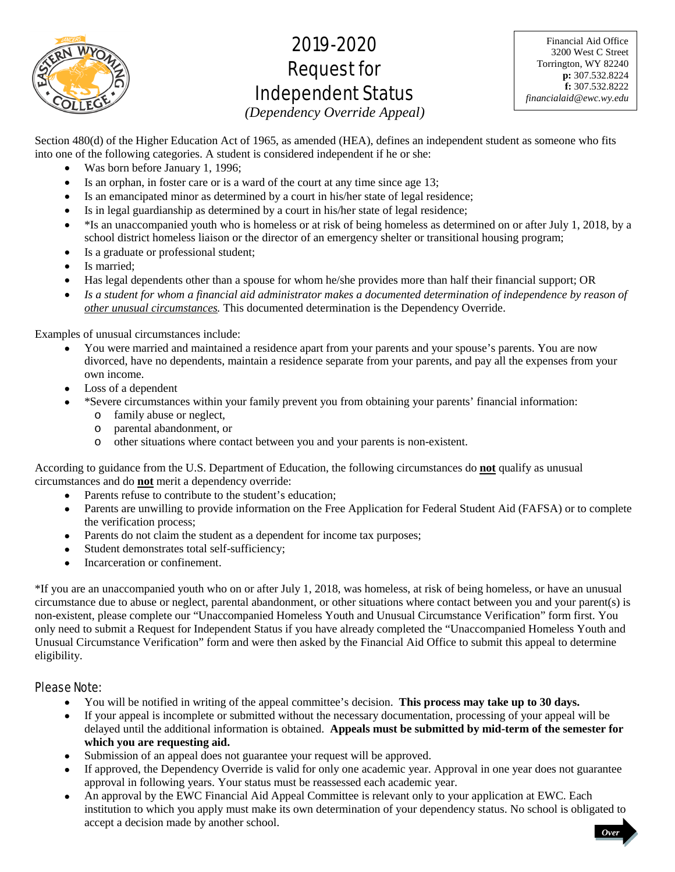

# 2019-2020 Request for Independent Status

Financial Aid Office 3200 West C Street Torrington, WY 82240 **p:** 307.532.8224 **f:** 307.532.8222 *financialaid@ewc.wy.edu*

*(Dependency Override Appeal)* 

Section 480(d) of the Higher Education Act of 1965, as amended (HEA), defines an independent student as someone who fits into one of the following categories. A student is considered independent if he or she:

- Was born before January 1, 1996;
- Is an orphan, in foster care or is a ward of the court at any time since age 13;
- Is an emancipated minor as determined by a court in his/her state of legal residence;
- Is in legal guardianship as determined by a court in his/her state of legal residence;
- $\bullet$  \*Is an unaccompanied youth who is homeless or at risk of being homeless as determined on or after July 1, 2018, by a school district homeless liaison or the director of an emergency shelter or transitional housing program;
- Is a graduate or professional student;
- Is married;
- Has legal dependents other than a spouse for whom he/she provides more than half their financial support; OR
- Is a student for whom a financial aid administrator makes a documented determination of independence by reason of *other unusual circumstances.* This documented determination is the Dependency Override.

Examples of unusual circumstances include:

- You were married and maintained a residence apart from your parents and your spouse's parents. You are now divorced, have no dependents, maintain a residence separate from your parents, and pay all the expenses from your own income.
- Loss of a dependent
- \*Severe circumstances within your family prevent you from obtaining your parents' financial information:
	- o family abuse or neglect,
	- o parental abandonment, or
	- o other situations where contact between you and your parents is non-existent.

According to guidance from the U.S. Department of Education, the following circumstances do **not** qualify as unusual circumstances and do **not** merit a dependency override:

- Parents refuse to contribute to the student's education;
- Parents are unwilling to provide information on the Free Application for Federal Student Aid (FAFSA) or to complete the verification process;
- Parents do not claim the student as a dependent for income tax purposes;
- Student demonstrates total self-sufficiency;
- Incarceration or confinement.

\*If you are an unaccompanied youth who on or after July 1, 2018, was homeless, at risk of being homeless, or have an unusual circumstance due to abuse or neglect, parental abandonment, or other situations where contact between you and your parent(s) is non-existent, please complete our "Unaccompanied Homeless Youth and Unusual Circumstance Verification" form first. You only need to submit a Request for Independent Status if you have already completed the "Unaccompanied Homeless Youth and Unusual Circumstance Verification" form and were then asked by the Financial Aid Office to submit this appeal to determine eligibility.

# Please Note:

- You will be notified in writing of the appeal committee's decision. **This process may take up to 30 days.**
- If your appeal is incomplete or submitted without the necessary documentation, processing of your appeal will be delayed until the additional information is obtained. **Appeals must be submitted by mid-term of the semester for which you are requesting aid.**
- Submission of an appeal does not guarantee your request will be approved.
- If approved, the Dependency Override is valid for only one academic year. Approval in one year does not guarantee approval in following years. Your status must be reassessed each academic year.
- An approval by the EWC Financial Aid Appeal Committee is relevant only to your application at EWC. Each institution to which you apply must make its own determination of your dependency status. No school is obligated to accept a decision made by another school. *Over*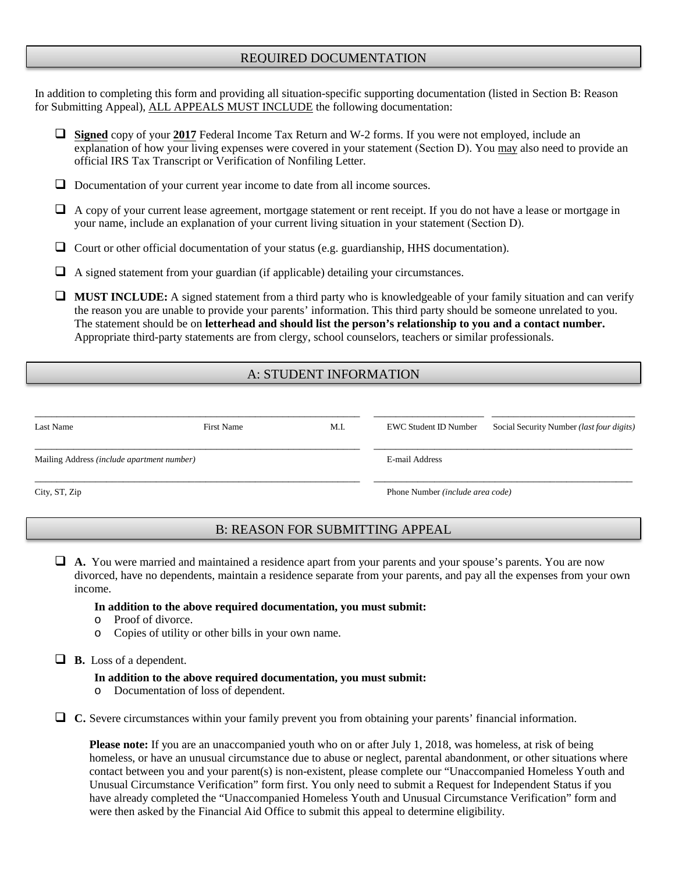# REQUIRED DOCUMENTATION

In addition to completing this form and providing all situation-specific supporting documentation (listed in Section B: Reason for Submitting Appeal), ALL APPEALS MUST INCLUDE the following documentation:

- **Signed** copy of your **2017** Federal Income Tax Return and W-2 forms. If you were not employed, include an explanation of how your living expenses were covered in your statement (Section D). You may also need to provide an official IRS Tax Transcript or Verification of Nonfiling Letter.
- $\Box$  Documentation of your current year income to date from all income sources.
- A copy of your current lease agreement, mortgage statement or rent receipt. If you do not have a lease or mortgage in your name, include an explanation of your current living situation in your statement (Section D).
- Court or other official documentation of your status (e.g. guardianship, HHS documentation).
- $\Box$  A signed statement from your guardian (if applicable) detailing your circumstances.

**MUST INCLUDE:** A signed statement from a third party who is knowledgeable of your family situation and can verify the reason you are unable to provide your parents' information. This third party should be someone unrelated to you. The statement should be on **letterhead and should list the person's relationship to you and a contact number.** Appropriate third-party statements are from clergy, school counselors, teachers or similar professionals.

# A: STUDENT INFORMATION

| Last Name                                  | <b>First Name</b> | M.I.                             | EWC Student ID Number | Social Security Number ( <i>last four digits</i> ) |  |
|--------------------------------------------|-------------------|----------------------------------|-----------------------|----------------------------------------------------|--|
| Mailing Address (include apartment number) |                   |                                  | E-mail Address        |                                                    |  |
| City, ST, Zip                              |                   | Phone Number (include area code) |                       |                                                    |  |

# B: REASON FOR SUBMITTING APPEAL

 **A.** You were married and maintained a residence apart from your parents and your spouse's parents. You are now divorced, have no dependents, maintain a residence separate from your parents, and pay all the expenses from your own income.

#### **In addition to the above required documentation, you must submit:**

- o Proof of divorce.
- o Copies of utility or other bills in your own name.

**B.** Loss of a dependent.

#### **In addition to the above required documentation, you must submit:**

o Documentation of loss of dependent.

**C.** Severe circumstances within your family prevent you from obtaining your parents' financial information.

**Please note:** If you are an unaccompanied youth who on or after July 1, 2018, was homeless, at risk of being homeless, or have an unusual circumstance due to abuse or neglect, parental abandonment, or other situations where contact between you and your parent(s) is non-existent, please complete our "Unaccompanied Homeless Youth and Unusual Circumstance Verification" form first. You only need to submit a Request for Independent Status if you have already completed the "Unaccompanied Homeless Youth and Unusual Circumstance Verification" form and were then asked by the Financial Aid Office to submit this appeal to determine eligibility.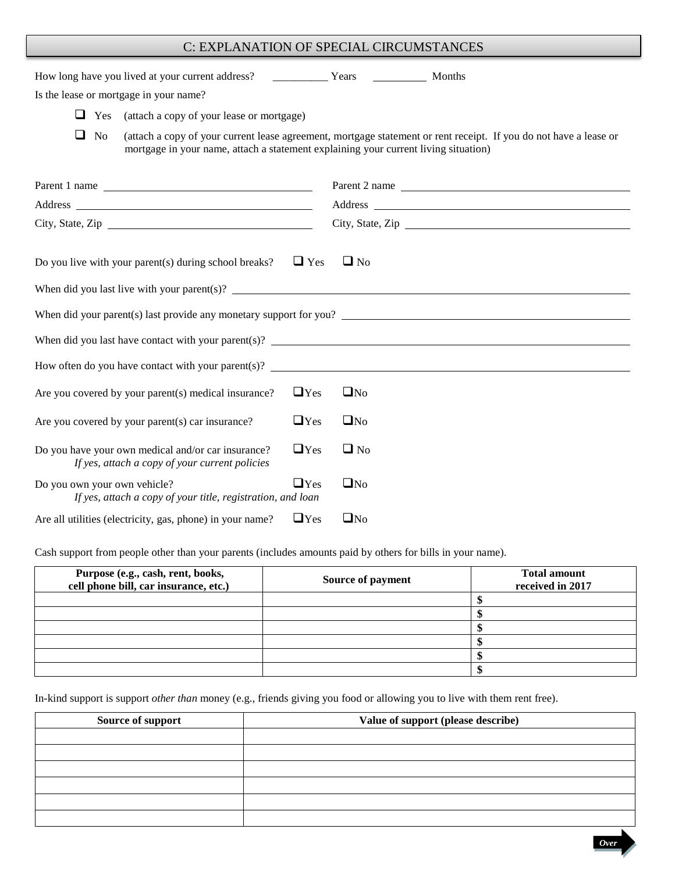# C: EXPLANATION OF SPECIAL CIRCUMSTANCES

| Is the lease or mortgage in your name?                                                                                                                                                                                                                           |            |              |                                                                                                                   |  |
|------------------------------------------------------------------------------------------------------------------------------------------------------------------------------------------------------------------------------------------------------------------|------------|--------------|-------------------------------------------------------------------------------------------------------------------|--|
| $\Box$ Yes<br>(attach a copy of your lease or mortgage)                                                                                                                                                                                                          |            |              |                                                                                                                   |  |
| $\Box$ No<br>mortgage in your name, attach a statement explaining your current living situation)                                                                                                                                                                 |            |              | (attach a copy of your current lease agreement, mortgage statement or rent receipt. If you do not have a lease or |  |
| Parent 1 name                                                                                                                                                                                                                                                    |            |              | Parent 2 name                                                                                                     |  |
|                                                                                                                                                                                                                                                                  |            |              |                                                                                                                   |  |
| City, State, Zip                                                                                                                                                                                                                                                 |            |              | City, State, Zip                                                                                                  |  |
| Do you live with your parent(s) during school breaks?<br>When did you last live with your parent(s)? $\qquad \qquad$<br>When did your parent(s) last provide any monetary support for you?<br>How often do you have contact with your parent(s)? $\qquad \qquad$ | $\Box$ Yes | $\Box$ No    |                                                                                                                   |  |
| Are you covered by your parent(s) medical insurance?                                                                                                                                                                                                             | $\Box$ Yes | $\square$ No |                                                                                                                   |  |
| Are you covered by your parent(s) car insurance?                                                                                                                                                                                                                 | $\Box$ Yes | $\square$ No |                                                                                                                   |  |
| Do you have your own medical and/or car insurance?<br>If yes, attach a copy of your current policies                                                                                                                                                             | $\Box$ Yes | $\Box$ No    |                                                                                                                   |  |
| Do you own your own vehicle?<br>If yes, attach a copy of your title, registration, and loan                                                                                                                                                                      | $\Box$ Yes | $\square$ No |                                                                                                                   |  |
| Are all utilities (electricity, gas, phone) in your name?                                                                                                                                                                                                        | $\Box$ Yes | $\square$ No |                                                                                                                   |  |

Cash support from people other than your parents (includes amounts paid by others for bills in your name).

| Purpose (e.g., cash, rent, books,<br>cell phone bill, car insurance, etc.) | Source of payment | <b>Total amount</b><br>received in 2017 |
|----------------------------------------------------------------------------|-------------------|-----------------------------------------|
|                                                                            |                   |                                         |
|                                                                            |                   |                                         |
|                                                                            |                   |                                         |
|                                                                            |                   |                                         |
|                                                                            |                   |                                         |
|                                                                            |                   |                                         |

In-kind support is support *other than* money (e.g., friends giving you food or allowing you to live with them rent free).

| Source of support | Value of support (please describe) |  |
|-------------------|------------------------------------|--|
|                   |                                    |  |
|                   |                                    |  |
|                   |                                    |  |
|                   |                                    |  |
|                   |                                    |  |
|                   |                                    |  |

*Over*